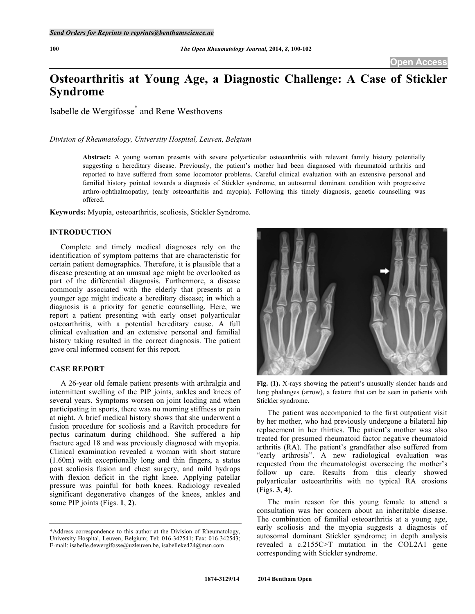# **Osteoarthritis at Young Age, a Diagnostic Challenge: A Case of Stickler Syndrome**

Isabelle de Wergifosse\* and Rene Westhovens

# *Division of Rheumatology, University Hospital, Leuven, Belgium*

**Abstract:** A young woman presents with severe polyarticular osteoarthritis with relevant family history potentially suggesting a hereditary disease. Previously, the patient's mother had been diagnosed with rheumatoid arthritis and reported to have suffered from some locomotor problems. Careful clinical evaluation with an extensive personal and familial history pointed towards a diagnosis of Stickler syndrome, an autosomal dominant condition with progressive arthro-ophthalmopathy, (early osteoarthritis and myopia). Following this timely diagnosis, genetic counselling was offered.

**Keywords:** Myopia, osteoarthritis, scoliosis, Stickler Syndrome.

# **INTRODUCTION**

Complete and timely medical diagnoses rely on the identification of symptom patterns that are characteristic for certain patient demographics. Therefore, it is plausible that a disease presenting at an unusual age might be overlooked as part of the differential diagnosis. Furthermore, a disease commonly associated with the elderly that presents at a younger age might indicate a hereditary disease; in which a diagnosis is a priority for genetic counselling. Here, we report a patient presenting with early onset polyarticular osteoarthritis, with a potential hereditary cause. A full clinical evaluation and an extensive personal and familial history taking resulted in the correct diagnosis. The patient gave oral informed consent for this report.

# **CASE REPORT**

A 26-year old female patient presents with arthralgia and intermittent swelling of the PIP joints, ankles and knees of several years. Symptoms worsen on joint loading and when participating in sports, there was no morning stiffness or pain at night. A brief medical history shows that she underwent a fusion procedure for scoliosis and a Ravitch procedure for pectus carinatum during childhood. She suffered a hip fracture aged 18 and was previously diagnosed with myopia. Clinical examination revealed a woman with short stature (1.60m) with exceptionally long and thin fingers, a status post scoliosis fusion and chest surgery, and mild hydrops with flexion deficit in the right knee. Applying patellar pressure was painful for both knees. Radiology revealed significant degenerative changes of the knees, ankles and some PIP joints (Figs. **1**, **2**).



**Fig. (1).** X-rays showing the patient's unusually slender hands and long phalanges (arrow), a feature that can be seen in patients with Stickler syndrome.

The patient was accompanied to the first outpatient visit by her mother, who had previously undergone a bilateral hip replacement in her thirties. The patient's mother was also treated for presumed rheumatoid factor negative rheumatoid arthritis (RA). The patient's grandfather also suffered from "early arthrosis". A new radiological evaluation was requested from the rheumatologist overseeing the mother's follow up care. Results from this clearly showed polyarticular osteoarthritis with no typical RA erosions (Figs. **3**, **4**).

The main reason for this young female to attend a consultation was her concern about an inheritable disease. The combination of familial osteoarthritis at a young age, early scoliosis and the myopia suggests a diagnosis of autosomal dominant Stickler syndrome; in depth analysis revealed a c.2155C>T mutation in the COL2A1 gene corresponding with Stickler syndrome.

<sup>\*</sup>Address correspondence to this author at the Division of Rheumatology, University Hospital, Leuven, Belgium; Tel: 016-342541; Fax: 016-342543; E-mail: isabelle.dewergifosse@uzleuven.be, isabelleke424@msn.com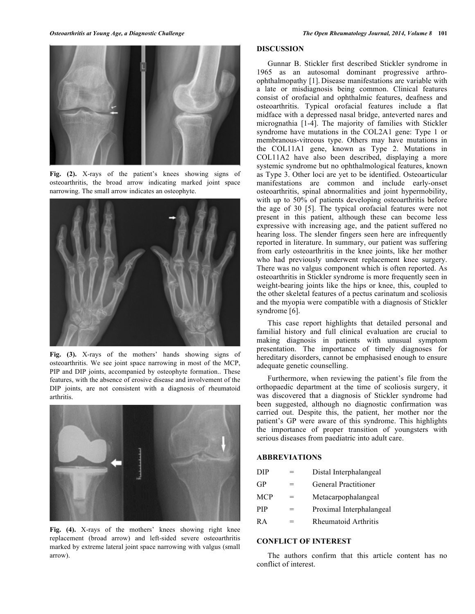

**Fig. (2).** X-rays of the patient's knees showing signs of osteoarthritis, the broad arrow indicating marked joint space narrowing. The small arrow indicates an osteophyte.



**Fig. (3).** X-rays of the mothers' hands showing signs of osteoarthritis. We see joint space narrowing in most of the MCP, PIP and DIP joints, accompanied by osteophyte formation.. These features, with the absence of erosive disease and involvement of the DIP joints, are not consistent with a diagnosis of rheumatoid arthritis.



Fig. (4). X-rays of the mothers' knees showing right knee replacement (broad arrow) and left-sided severe osteoarthritis marked by extreme lateral joint space narrowing with valgus (small arrow).

# **DISCUSSION**

Gunnar B. Stickler first described Stickler syndrome in 1965 as an autosomal dominant progressive arthroophthalmopathy [1]. Disease manifestations are variable with a late or misdiagnosis being common. Clinical features consist of orofacial and ophthalmic features, deafness and osteoarthritis. Typical orofacial features include a flat midface with a depressed nasal bridge, anteverted nares and micrognathia [1-4]. The majority of families with Stickler syndrome have mutations in the COL2A1 gene: Type 1 or membranous-vitreous type. Others may have mutations in the COL11A1 gene, known as Type 2. Mutations in COL11A2 have also been described, displaying a more systemic syndrome but no ophthalmological features, known as Type 3. Other loci are yet to be identified. Osteoarticular manifestations are common and include early-onset osteoarthritis, spinal abnormalities and joint hypermobility, with up to 50% of patients developing osteoarthritis before the age of 30 [5]. The typical orofacial features were not present in this patient, although these can become less expressive with increasing age, and the patient suffered no hearing loss. The slender fingers seen here are infrequently reported in literature. In summary, our patient was suffering from early osteoarthritis in the knee joints, like her mother who had previously underwent replacement knee surgery. There was no valgus component which is often reported. As osteoarthritis in Stickler syndrome is more frequently seen in weight-bearing joints like the hips or knee, this, coupled to the other skeletal features of a pectus carinatum and scoliosis and the myopia were compatible with a diagnosis of Stickler syndrome [6].

This case report highlights that detailed personal and familial history and full clinical evaluation are crucial to making diagnosis in patients with unusual symptom presentation. The importance of timely diagnoses for hereditary disorders, cannot be emphasised enough to ensure adequate genetic counselling.

Furthermore, when reviewing the patient's file from the orthopaedic department at the time of scoliosis surgery, it was discovered that a diagnosis of Stickler syndrome had been suggested, although no diagnostic confirmation was carried out. Despite this, the patient, her mother nor the patient's GP were aware of this syndrome. This highlights the importance of proper transition of youngsters with serious diseases from paediatric into adult care.

# **ABBREVIATIONS**

| DIP.       |     | Distal Interphalangeal      |
|------------|-----|-----------------------------|
| GP         | $=$ | <b>General Practitioner</b> |
| <b>MCP</b> | $=$ | Metacarpophalangeal         |
| <b>PIP</b> | =   | Proximal Interphalangeal    |
| R A        | $=$ | Rheumatoid Arthritis        |
|            |     |                             |

# **CONFLICT OF INTEREST**

The authors confirm that this article content has no conflict of interest.